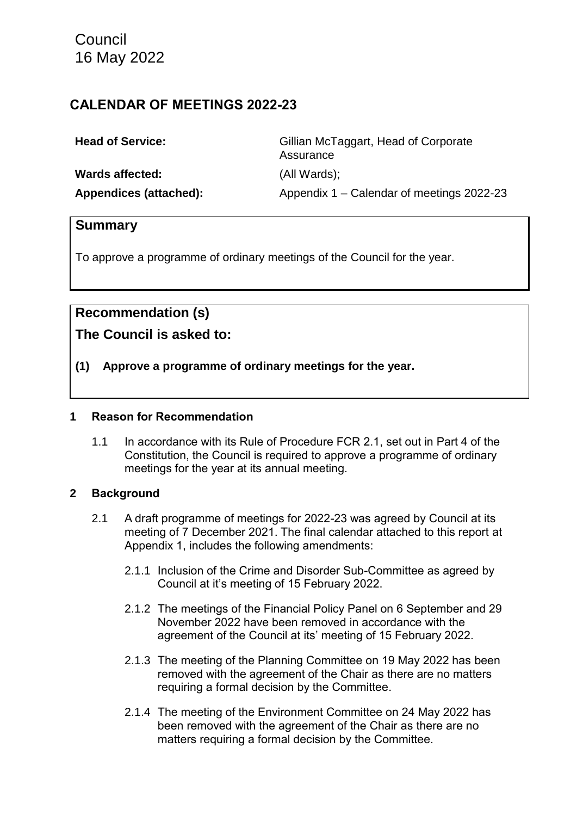Council 16 May 2022

# **CALENDAR OF MEETINGS 2022-23**

| <b>Head of Service:</b> | Gillian McTaggart, Head of Corporate<br>Assurance |
|-------------------------|---------------------------------------------------|
| <b>Wards affected:</b>  | (All Wards);                                      |
| Appendices (attached):  | Appendix 1 – Calendar of meetings 2022-23         |

# **Summary**

To approve a programme of ordinary meetings of the Council for the year.

# **Recommendation (s)**

# **The Council is asked to:**

**(1) Approve a programme of ordinary meetings for the year.**

#### **1 Reason for Recommendation**

1.1 In accordance with its Rule of Procedure FCR 2.1, set out in Part 4 of the Constitution, the Council is required to approve a programme of ordinary meetings for the year at its annual meeting.

## **2 Background**

- 2.1 A draft programme of meetings for 2022-23 was agreed by Council at its meeting of 7 December 2021. The final calendar attached to this report at Appendix 1, includes the following amendments:
	- 2.1.1 Inclusion of the Crime and Disorder Sub-Committee as agreed by Council at it's meeting of 15 February 2022.
	- 2.1.2 The meetings of the Financial Policy Panel on 6 September and 29 November 2022 have been removed in accordance with the agreement of the Council at its' meeting of 15 February 2022.
	- 2.1.3 The meeting of the Planning Committee on 19 May 2022 has been removed with the agreement of the Chair as there are no matters requiring a formal decision by the Committee.
	- 2.1.4 The meeting of the Environment Committee on 24 May 2022 has been removed with the agreement of the Chair as there are no matters requiring a formal decision by the Committee.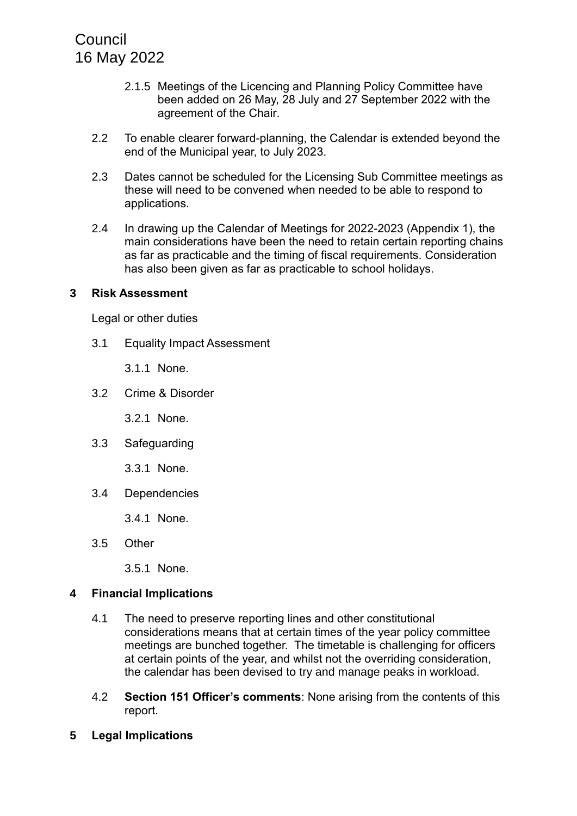**Council** 16 May 2022

- 2.1.5 Meetings of the Licencing and Planning Policy Committee have been added on 26 May, 28 July and 27 September 2022 with the agreement of the Chair.
- 2.2 To enable clearer forward-planning, the Calendar is extended beyond the end of the Municipal year, to July 2023.
- 2.3 Dates cannot be scheduled for the Licensing Sub Committee meetings as these will need to be convened when needed to be able to respond to applications.
- 2.4 In drawing up the Calendar of Meetings for 2022-2023 (Appendix 1), the main considerations have been the need to retain certain reporting chains as far as practicable and the timing of fiscal requirements. Consideration has also been given as far as practicable to school holidays.

#### **3 Risk Assessment**

Legal or other duties

- 3.1 Equality Impact Assessment
	- 3.1.1 None.
- 3.2 Crime & Disorder

3.2.1 None.

3.3 Safeguarding

3.3.1 None.

3.4 Dependencies

3.4.1 None.

3.5 Other

3.5.1 None.

#### **4 Financial Implications**

- 4.1 The need to preserve reporting lines and other constitutional considerations means that at certain times of the year policy committee meetings are bunched together. The timetable is challenging for officers at certain points of the year, and whilst not the overriding consideration, the calendar has been devised to try and manage peaks in workload.
- 4.2 **Section 151 Officer's comments**: None arising from the contents of this report.
- **5 Legal Implications**